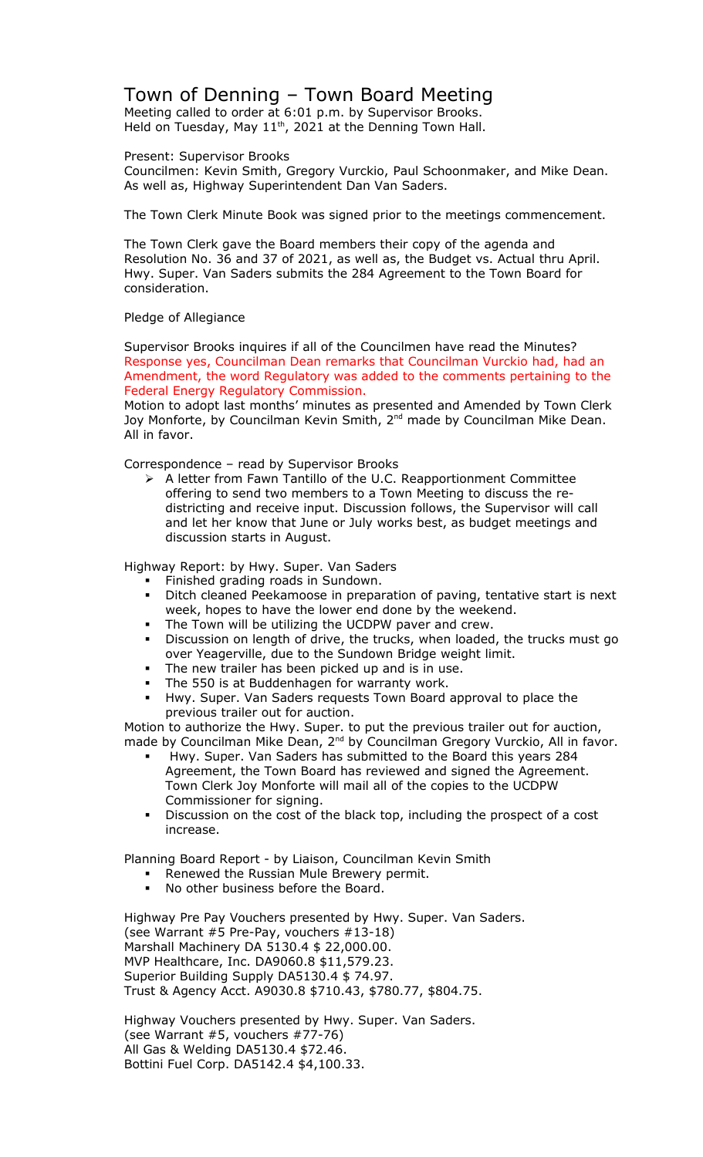## Town of Denning – Town Board Meeting

Meeting called to order at 6:01 p.m. by Supervisor Brooks. Held on Tuesday, May  $11<sup>th</sup>$ , 2021 at the Denning Town Hall.

## Present: Supervisor Brooks

Councilmen: Kevin Smith, Gregory Vurckio, Paul Schoonmaker, and Mike Dean. As well as, Highway Superintendent Dan Van Saders.

The Town Clerk Minute Book was signed prior to the meetings commencement.

The Town Clerk gave the Board members their copy of the agenda and Resolution No. 36 and 37 of 2021, as well as, the Budget vs. Actual thru April. Hwy. Super. Van Saders submits the 284 Agreement to the Town Board for consideration.

## Pledge of Allegiance

Supervisor Brooks inquires if all of the Councilmen have read the Minutes? Response yes, Councilman Dean remarks that Councilman Vurckio had, had an Amendment, the word Regulatory was added to the comments pertaining to the Federal Energy Regulatory Commission.

Motion to adopt last months' minutes as presented and Amended by Town Clerk Joy Monforte, by Councilman Kevin Smith, 2<sup>nd</sup> made by Councilman Mike Dean. All in favor.

Correspondence – read by Supervisor Brooks

 A letter from Fawn Tantillo of the U.C. Reapportionment Committee offering to send two members to a Town Meeting to discuss the redistricting and receive input. Discussion follows, the Supervisor will call and let her know that June or July works best, as budget meetings and discussion starts in August.

Highway Report: by Hwy. Super. Van Saders

- Finished grading roads in Sundown.
- Ditch cleaned Peekamoose in preparation of paving, tentative start is next week, hopes to have the lower end done by the weekend.
- The Town will be utilizing the UCDPW paver and crew.
- Discussion on length of drive, the trucks, when loaded, the trucks must go over Yeagerville, due to the Sundown Bridge weight limit.
- The new trailer has been picked up and is in use.
- The 550 is at Buddenhagen for warranty work.
- Hwy. Super. Van Saders requests Town Board approval to place the previous trailer out for auction.

Motion to authorize the Hwy. Super. to put the previous trailer out for auction, made by Councilman Mike Dean, 2<sup>nd</sup> by Councilman Gregory Vurckio, All in favor.

- Hwy. Super. Van Saders has submitted to the Board this years 284 Agreement, the Town Board has reviewed and signed the Agreement. Town Clerk Joy Monforte will mail all of the copies to the UCDPW Commissioner for signing.
- Discussion on the cost of the black top, including the prospect of a cost increase.

Planning Board Report - by Liaison, Councilman Kevin Smith

- Renewed the Russian Mule Brewery permit.
- No other business before the Board.

Highway Pre Pay Vouchers presented by Hwy. Super. Van Saders. (see Warrant #5 Pre-Pay, vouchers #13-18) Marshall Machinery DA 5130.4 \$ 22,000.00. MVP Healthcare, Inc. DA9060.8 \$11,579.23. Superior Building Supply DA5130.4 \$ 74.97. Trust & Agency Acct. A9030.8 \$710.43, \$780.77, \$804.75.

Highway Vouchers presented by Hwy. Super. Van Saders. (see Warrant #5, vouchers #77-76) All Gas & Welding DA5130.4 \$72.46. Bottini Fuel Corp. DA5142.4 \$4,100.33.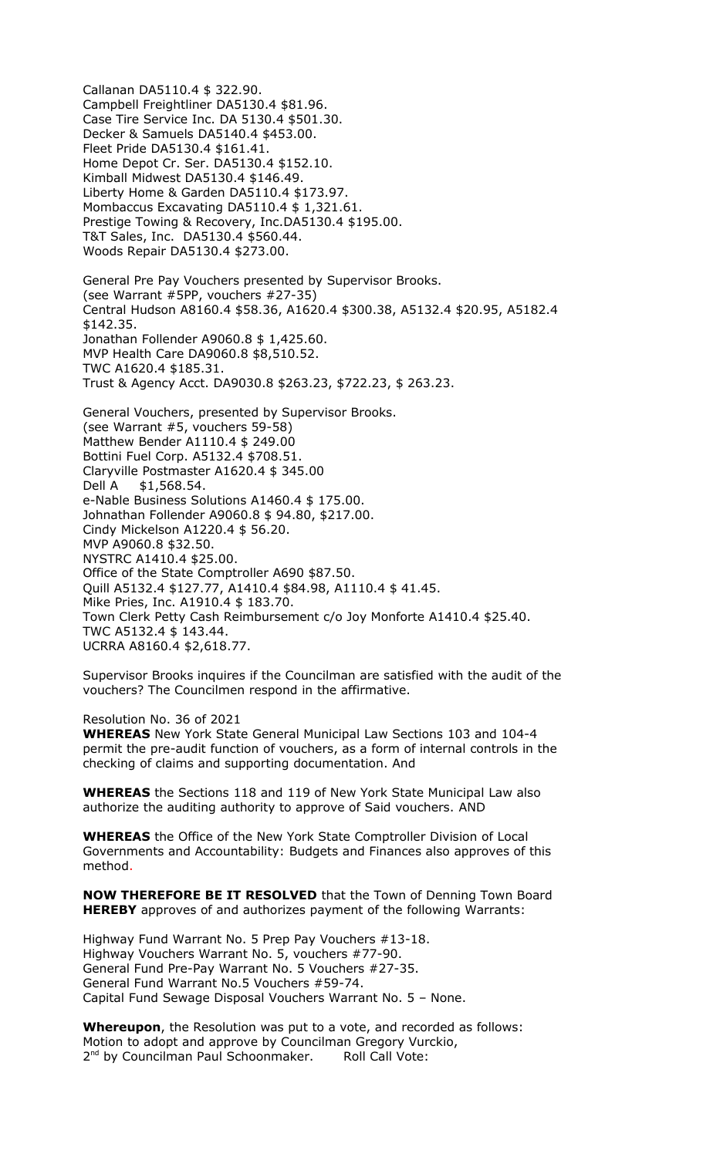Callanan DA5110.4 \$ 322.90. Campbell Freightliner DA5130.4 \$81.96. Case Tire Service Inc. DA 5130.4 \$501.30. Decker & Samuels DA5140.4 \$453.00. Fleet Pride DA5130.4 \$161.41. Home Depot Cr. Ser. DA5130.4 \$152.10. Kimball Midwest DA5130.4 \$146.49. Liberty Home & Garden DA5110.4 \$173.97. Mombaccus Excavating DA5110.4 \$ 1,321.61. Prestige Towing & Recovery, Inc.DA5130.4 \$195.00. T&T Sales, Inc. DA5130.4 \$560.44. Woods Repair DA5130.4 \$273.00. General Pre Pay Vouchers presented by Supervisor Brooks. (see Warrant #5PP, vouchers #27-35) Central Hudson A8160.4 \$58.36, A1620.4 \$300.38, A5132.4 \$20.95, A5182.4 \$142.35. Jonathan Follender A9060.8 \$ 1,425.60. MVP Health Care DA9060.8 \$8,510.52. TWC A1620.4 \$185.31. Trust & Agency Acct. DA9030.8 \$263.23, \$722.23, \$ 263.23. General Vouchers, presented by Supervisor Brooks. (see Warrant #5, vouchers 59-58) Matthew Bender A1110.4 \$ 249.00 Bottini Fuel Corp. A5132.4 \$708.51. Claryville Postmaster A1620.4 \$ 345.00 Dell A \$1,568.54. e-Nable Business Solutions A1460.4 \$ 175.00. Johnathan Follender A9060.8 \$ 94.80, \$217.00. Cindy Mickelson A1220.4 \$ 56.20. MVP A9060.8 \$32.50. NYSTRC A1410.4 \$25.00. Office of the State Comptroller A690 \$87.50. Quill A5132.4 \$127.77, A1410.4 \$84.98, A1110.4 \$ 41.45.

Mike Pries, Inc. A1910.4 \$ 183.70. Town Clerk Petty Cash Reimbursement c/o Joy Monforte A1410.4 \$25.40. TWC A5132.4 \$ 143.44.

UCRRA A8160.4 \$2,618.77.

Supervisor Brooks inquires if the Councilman are satisfied with the audit of the vouchers? The Councilmen respond in the affirmative.

Resolution No. 36 of 2021 **WHEREAS** New York State General Municipal Law Sections 103 and 104-4 permit the pre-audit function of vouchers, as a form of internal controls in the checking of claims and supporting documentation. And

**WHEREAS** the Sections 118 and 119 of New York State Municipal Law also authorize the auditing authority to approve of Said vouchers. AND

**WHEREAS** the Office of the New York State Comptroller Division of Local Governments and Accountability: Budgets and Finances also approves of this method.

**NOW THEREFORE BE IT RESOLVED** that the Town of Denning Town Board **HEREBY** approves of and authorizes payment of the following Warrants:

Highway Fund Warrant No. 5 Prep Pay Vouchers #13-18. Highway Vouchers Warrant No. 5, vouchers #77-90. General Fund Pre-Pay Warrant No. 5 Vouchers #27-35. General Fund Warrant No.5 Vouchers #59-74. Capital Fund Sewage Disposal Vouchers Warrant No. 5 – None.

**Whereupon**, the Resolution was put to a vote, and recorded as follows: Motion to adopt and approve by Councilman Gregory Vurckio, 2<sup>nd</sup> by Councilman Paul Schoonmaker. Roll Call Vote: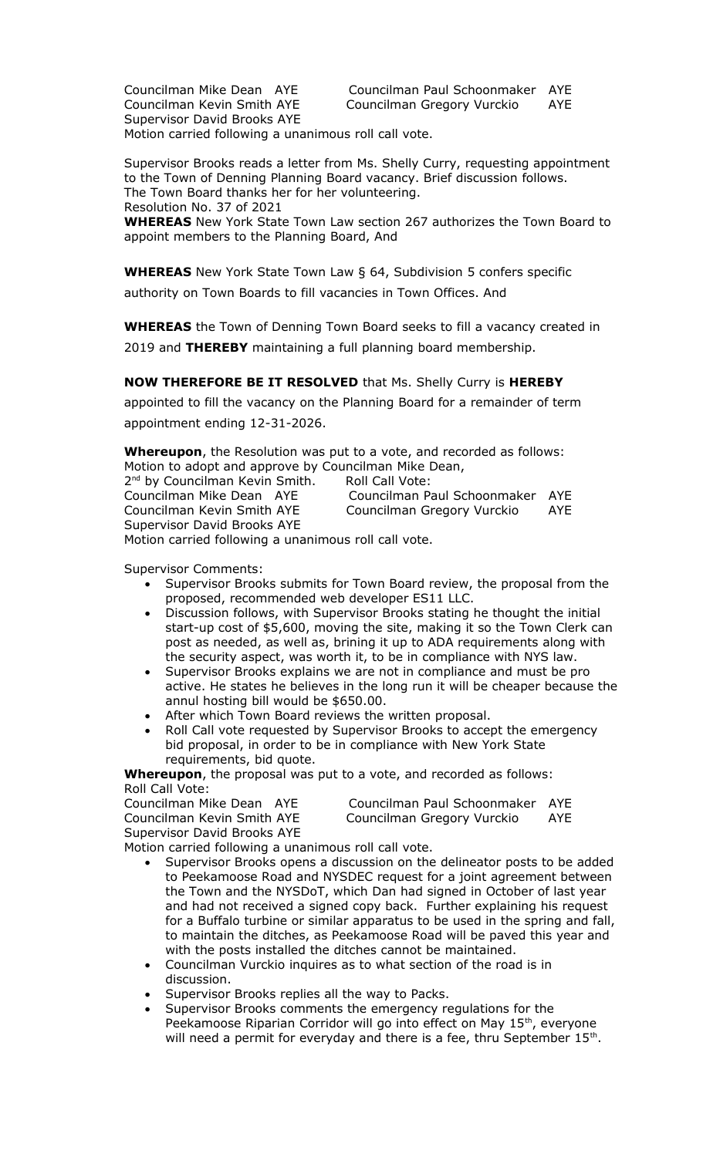Councilman Mike Dean AYE Councilman Paul Schoonmaker AYE Councilman Kevin Smith AYE Councilman Gregory Vurckio AYE Supervisor David Brooks AYE

Motion carried following a unanimous roll call vote.

Supervisor Brooks reads a letter from Ms. Shelly Curry, requesting appointment to the Town of Denning Planning Board vacancy. Brief discussion follows. The Town Board thanks her for her volunteering. Resolution No. 37 of 2021

**WHEREAS** New York State Town Law section 267 authorizes the Town Board to appoint members to the Planning Board, And

**WHEREAS** New York State Town Law § 64, Subdivision 5 confers specific authority on Town Boards to fill vacancies in Town Offices. And

**WHEREAS** the Town of Denning Town Board seeks to fill a vacancy created in 2019 and **THEREBY** maintaining a full planning board membership.

## **NOW THEREFORE BE IT RESOLVED** that Ms. Shelly Curry is **HEREBY**

appointed to fill the vacancy on the Planning Board for a remainder of term appointment ending 12-31-2026.

**Whereupon**, the Resolution was put to a vote, and recorded as follows: Motion to adopt and approve by Councilman Mike Dean,

2<sup>nd</sup> by Councilman Kevin Smith. Roll Call Vote: Councilman Mike Dean AYE Councilman Paul Schoonmaker AYE Councilman Gregory Vurckio AYE Supervisor David Brooks AYE

Motion carried following a unanimous roll call vote.

Supervisor Comments:

- Supervisor Brooks submits for Town Board review, the proposal from the proposed, recommended web developer ES11 LLC.
- Discussion follows, with Supervisor Brooks stating he thought the initial start-up cost of \$5,600, moving the site, making it so the Town Clerk can post as needed, as well as, brining it up to ADA requirements along with the security aspect, was worth it, to be in compliance with NYS law.
- Supervisor Brooks explains we are not in compliance and must be pro active. He states he believes in the long run it will be cheaper because the annul hosting bill would be \$650.00.
- After which Town Board reviews the written proposal.
- Roll Call vote requested by Supervisor Brooks to accept the emergency bid proposal, in order to be in compliance with New York State requirements, bid quote.

**Whereupon**, the proposal was put to a vote, and recorded as follows: Roll Call Vote:

| Councilman Mike Dean AYE           | Councilman Paul Schoonmaker AYE |     |
|------------------------------------|---------------------------------|-----|
| Councilman Kevin Smith AYE         | Councilman Gregory Vurckio      | AYE |
| <b>Supervisor David Brooks AYE</b> |                                 |     |

Motion carried following a unanimous roll call vote.

- Supervisor Brooks opens a discussion on the delineator posts to be added to Peekamoose Road and NYSDEC request for a joint agreement between the Town and the NYSDoT, which Dan had signed in October of last year and had not received a signed copy back. Further explaining his request for a Buffalo turbine or similar apparatus to be used in the spring and fall, to maintain the ditches, as Peekamoose Road will be paved this year and with the posts installed the ditches cannot be maintained.
- Councilman Vurckio inquires as to what section of the road is in discussion.
- Supervisor Brooks replies all the way to Packs.
- Supervisor Brooks comments the emergency regulations for the Peekamoose Riparian Corridor will go into effect on May 15<sup>th</sup>, everyone will need a permit for everyday and there is a fee, thru September 15<sup>th</sup>.